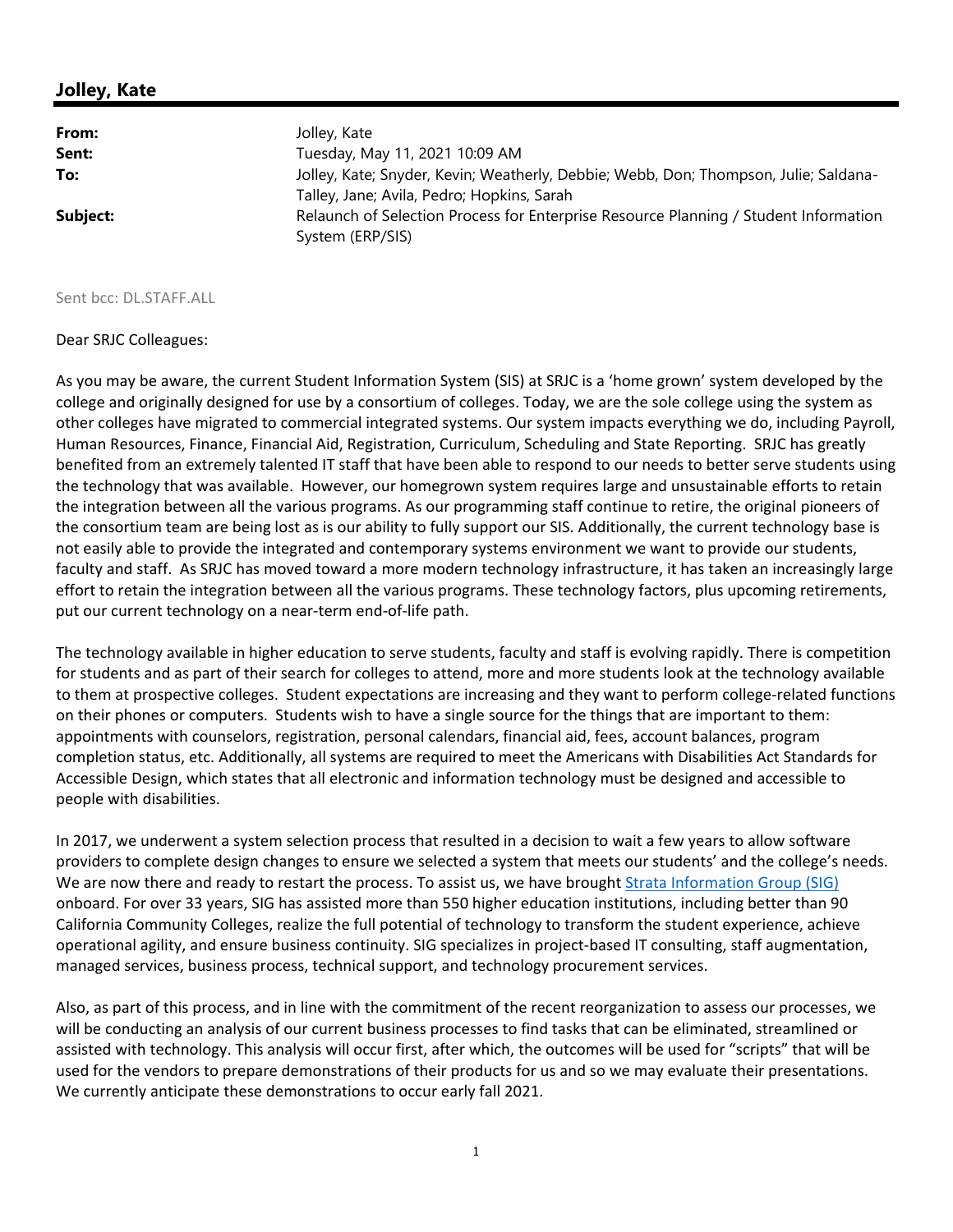## **Jolley, Kate**

| From:    | Jolley, Kate                                                                                             |
|----------|----------------------------------------------------------------------------------------------------------|
| Sent:    | Tuesday, May 11, 2021 10:09 AM                                                                           |
| To:      | Jolley, Kate; Snyder, Kevin; Weatherly, Debbie; Webb, Don; Thompson, Julie; Saldana-                     |
|          | Talley, Jane; Avila, Pedro; Hopkins, Sarah                                                               |
| Subject: | Relaunch of Selection Process for Enterprise Resource Planning / Student Information<br>System (ERP/SIS) |

## Sent bcc: DL.STAFF.ALL

## Dear SRJC Colleagues:

As you may be aware, the current Student Information System (SIS) at SRJC is a 'home grown' system developed by the college and originally designed for use by a consortium of colleges. Today, we are the sole college using the system as other colleges have migrated to commercial integrated systems. Our system impacts everything we do, including Payroll, Human Resources, Finance, Financial Aid, Registration, Curriculum, Scheduling and State Reporting. SRJC has greatly benefited from an extremely talented IT staff that have been able to respond to our needs to better serve students using the technology that was available. However, our homegrown system requires large and unsustainable efforts to retain the integration between all the various programs. As our programming staff continue to retire, the original pioneers of the consortium team are being lost as is our ability to fully support our SIS. Additionally, the current technology base is not easily able to provide the integrated and contemporary systems environment we want to provide our students, faculty and staff. As SRJC has moved toward a more modern technology infrastructure, it has taken an increasingly large effort to retain the integration between all the various programs. These technology factors, plus upcoming retirements, put our current technology on a near‐term end‐of‐life path.

The technology available in higher education to serve students, faculty and staff is evolving rapidly. There is competition for students and as part of their search for colleges to attend, more and more students look at the technology available to them at prospective colleges. Student expectations are increasing and they want to perform college-related functions on their phones or computers. Students wish to have a single source for the things that are important to them: appointments with counselors, registration, personal calendars, financial aid, fees, account balances, program completion status, etc. Additionally, all systems are required to meet the Americans with Disabilities Act Standards for Accessible Design, which states that all electronic and information technology must be designed and accessible to people with disabilities.

In 2017, we underwent a system selection process that resulted in a decision to wait a few years to allow software providers to complete design changes to ensure we selected a system that meets our students' and the college's needs. We are now there and ready to restart the process. To assist us, we have brought Strata Information Group (SIG) onboard. For over 33 years, SIG has assisted more than 550 higher education institutions, including better than 90 California Community Colleges, realize the full potential of technology to transform the student experience, achieve operational agility, and ensure business continuity. SIG specializes in project‐based IT consulting, staff augmentation, managed services, business process, technical support, and technology procurement services.

Also, as part of this process, and in line with the commitment of the recent reorganization to assess our processes, we will be conducting an analysis of our current business processes to find tasks that can be eliminated, streamlined or assisted with technology. This analysis will occur first, after which, the outcomes will be used for "scripts" that will be used for the vendors to prepare demonstrations of their products for us and so we may evaluate their presentations. We currently anticipate these demonstrations to occur early fall 2021.